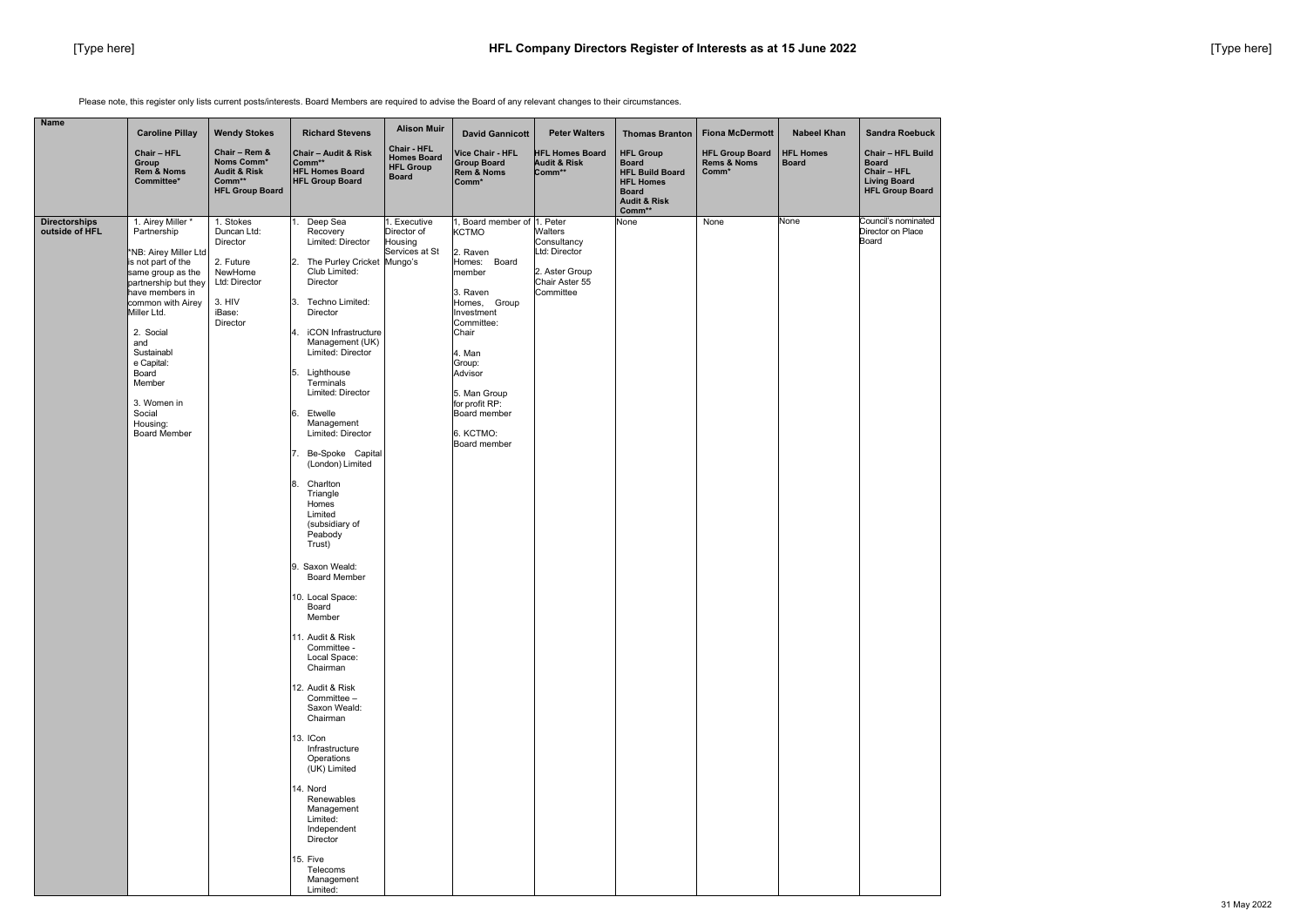Please note, this register only lists current posts/interests. Board Members are required to advise the Board of any relevant changes to their circumstances.

| <b>Name</b><br><b>Alison Muir</b><br><b>Wendy Stokes</b><br><b>Richard Stevens</b><br><b>Caroline Pillay</b><br><b>David Gannicott</b><br><b>Peter Walters</b>                                                                                                                                                                                                                                                                                                                                                                                                                                                                                                                                                                                                                                                                                                                                                                                                                                                                                                                                                                                                                                                                                                                                                                                                                                                                                                                                                                                                                                                                                                                                                                                                                                                       | <b>Thomas Branton</b>                                                                                                               | <b>Fiona McDermott</b>                         | <b>Nabeel Khan</b>               | <b>Sandra Roebuck</b>                                                                                    |
|----------------------------------------------------------------------------------------------------------------------------------------------------------------------------------------------------------------------------------------------------------------------------------------------------------------------------------------------------------------------------------------------------------------------------------------------------------------------------------------------------------------------------------------------------------------------------------------------------------------------------------------------------------------------------------------------------------------------------------------------------------------------------------------------------------------------------------------------------------------------------------------------------------------------------------------------------------------------------------------------------------------------------------------------------------------------------------------------------------------------------------------------------------------------------------------------------------------------------------------------------------------------------------------------------------------------------------------------------------------------------------------------------------------------------------------------------------------------------------------------------------------------------------------------------------------------------------------------------------------------------------------------------------------------------------------------------------------------------------------------------------------------------------------------------------------------|-------------------------------------------------------------------------------------------------------------------------------------|------------------------------------------------|----------------------------------|----------------------------------------------------------------------------------------------------------|
| Chair - HFL<br>Chair - HFL<br>Chair - Rem &<br>Chair - Audit & Risk<br><b>HFL Homes Board</b><br><b>Vice Chair - HFL</b><br><b>Homes Board</b><br>Noms Comm*<br>Comm**<br><b>Audit &amp; Risk</b><br>Group<br><b>Group Board</b><br><b>HFL Group</b><br>Rem & Noms<br><b>Audit &amp; Risk</b><br><b>HFL Homes Board</b><br>Comm**<br><b>Rem &amp; Noms</b><br><b>Board</b><br>Comm**<br>Committee*<br><b>HFL Group Board</b><br>Comm*<br><b>HFL Group Board</b>                                                                                                                                                                                                                                                                                                                                                                                                                                                                                                                                                                                                                                                                                                                                                                                                                                                                                                                                                                                                                                                                                                                                                                                                                                                                                                                                                      | <b>HFL Group</b><br><b>Board</b><br><b>HFL Build Board</b><br><b>HFL Homes</b><br><b>Board</b><br><b>Audit &amp; Risk</b><br>Comm** | <b>HFL Group Board</b><br>Rems & Noms<br>Comm* | <b>HFL Homes</b><br><b>Board</b> | <b>Chair - HFL Build</b><br><b>Board</b><br>Chair - HFL<br><b>Living Board</b><br><b>HFL Group Board</b> |
| 1. Airey Miller *<br>1. Stokes<br>Board member of 1. Peter<br><b>Directorships</b><br>Deep Sea<br>1. Executive<br>outside of HFL<br>Partnership<br>Duncan Ltd:<br>Recovery<br>Director of<br><b>KCTMO</b><br>Walters<br>Director<br>Limited: Director<br>Housing<br>Consultancy<br>Services at St<br>Ltd: Director<br>*NB: Airey Miller Ltd<br>2. Raven<br>2. Future<br>$\overline{2}$ .<br>The Purley Cricket Mungo's<br>Homes: Board<br>is not part of the<br>NewHome<br>Club Limited:<br>2. Aster Group<br>same group as the<br>member<br>Chair Aster 55<br>Director<br>Ltd: Director<br>partnership but they<br>Committee<br>3. Raven<br>have members in<br>3. HIV<br>3.<br>Techno Limited:<br>Homes, Group<br>common with Airey<br>iBase:<br>Miller Ltd.<br>Director<br>Investment<br>Committee:<br>Director<br>iCON Infrastructure<br>2. Social<br>$\mathbf 4$ .<br>Chair<br>Management (UK)<br>and<br>Sustainabl<br>Limited: Director<br>4. Man<br>e Capital:<br>Group:<br>5.<br>Lighthouse<br>Board<br>Advisor<br>Terminals<br>Member<br>Limited: Director<br>5. Man Group<br>for profit RP:<br>3. Women in<br>Social<br>Etwelle<br>6.<br>Board member<br>Management<br>Housing:<br>6. KCTMO:<br><b>Board Member</b><br>Limited: Director<br>Board member<br>Be-Spoke Capital<br>7.<br>(London) Limited<br>8.<br>Charlton<br>Triangle<br>Homes<br>Limited<br>(subsidiary of<br>Peabody<br>Trust)<br>9. Saxon Weald:<br><b>Board Member</b><br>10. Local Space:<br>Board<br>Member<br>11. Audit & Risk<br>Committee -<br>Local Space:<br>Chairman<br>12. Audit & Risk<br>Committee -<br>Saxon Weald:<br>Chairman<br>13. ICon<br>Infrastructure<br>Operations<br>(UK) Limited<br>14. Nord<br>Renewables<br>Management<br>Limited:<br>Independent<br>Director<br>15. Five<br>Telecoms<br>Management<br>Limited: | None                                                                                                                                | None                                           | None                             | Council's nominated<br>Director on Place<br>Board                                                        |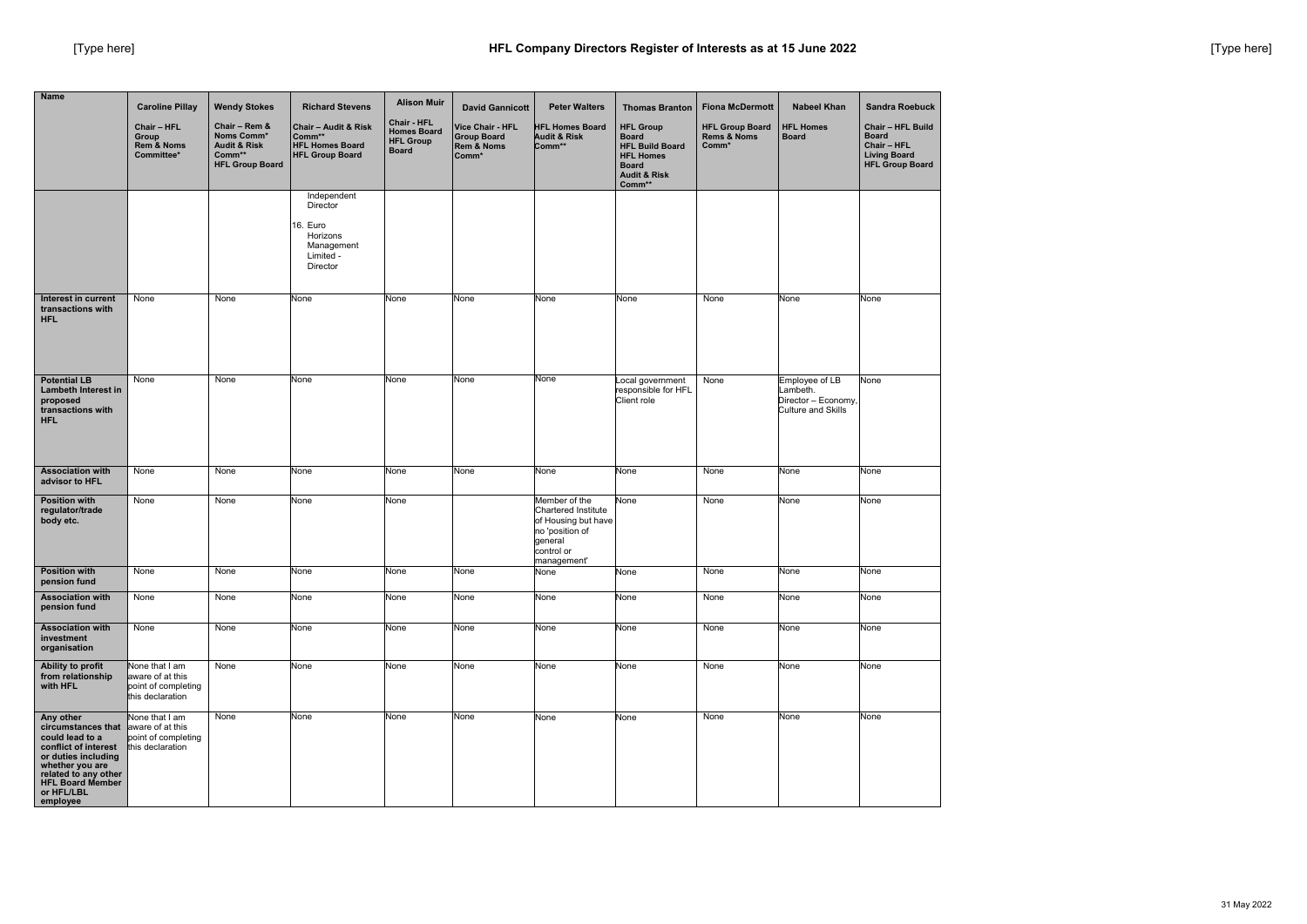| <b>Name</b>                                                                                                                                                                                | <b>Caroline Pillay</b><br><b>Chair - HFL</b><br>Group                         | <b>Wendy Stokes</b><br>Chair - Rem &<br>Noms Comm*          | <b>Richard Stevens</b><br>Chair - Audit & Risk<br>Comm**                               | <b>Alison Muir</b><br>Chair - HFL<br><b>Homes Board</b><br><b>HFL Group</b> | <b>David Gannicott</b><br><b>Vice Chair - HFL</b><br><b>Group Board</b> | <b>Peter Walters</b><br><b>HFL Homes Board</b><br><b>Audit &amp; Risk</b>                                              | <b>Thomas Branton</b><br><b>HFL Group</b><br><b>Board</b>                                       | <b>Fiona McDermott</b><br><b>HFL Group Board</b><br><b>Rems &amp; Noms</b> | <b>Nabeel Khan</b><br><b>HFL Homes</b><br><b>Board</b>                         | <b>Sandra Roebuck</b><br><b>Chair - HFL Build</b><br><b>Board</b> |
|--------------------------------------------------------------------------------------------------------------------------------------------------------------------------------------------|-------------------------------------------------------------------------------|-------------------------------------------------------------|----------------------------------------------------------------------------------------|-----------------------------------------------------------------------------|-------------------------------------------------------------------------|------------------------------------------------------------------------------------------------------------------------|-------------------------------------------------------------------------------------------------|----------------------------------------------------------------------------|--------------------------------------------------------------------------------|-------------------------------------------------------------------|
|                                                                                                                                                                                            | <b>Rem &amp; Noms</b><br>Committee*                                           | <b>Audit &amp; Risk</b><br>Comm**<br><b>HFL Group Board</b> | <b>HFL Homes Board</b><br><b>HFL Group Board</b>                                       | <b>Board</b>                                                                | <b>Rem &amp; Noms</b><br>Comm*                                          | Comm**                                                                                                                 | <b>HFL Build Board</b><br><b>HFL Homes</b><br><b>Board</b><br><b>Audit &amp; Risk</b><br>Comm** | Comm*                                                                      |                                                                                | Chair - HFL<br><b>Living Board</b><br><b>HFL Group Board</b>      |
|                                                                                                                                                                                            |                                                                               |                                                             | Independent<br>Director<br>16. Euro<br>Horizons<br>Management<br>Limited -<br>Director |                                                                             |                                                                         |                                                                                                                        |                                                                                                 |                                                                            |                                                                                |                                                                   |
| Interest in current<br>transactions with<br><b>HFL</b>                                                                                                                                     | None                                                                          | None                                                        | None                                                                                   | None                                                                        | None                                                                    | None                                                                                                                   | None                                                                                            | None                                                                       | None                                                                           | None                                                              |
| <b>Potential LB</b><br><b>Lambeth Interest in</b><br>proposed<br>transactions with<br><b>HFL</b>                                                                                           | None                                                                          | None                                                        | None                                                                                   | None                                                                        | None                                                                    | None                                                                                                                   | ocal government<br>responsible for HFL<br>Client role                                           | None                                                                       | Employee of LB<br>Lambeth.<br>Director - Economy,<br><b>Culture and Skills</b> | None                                                              |
| <b>Association with</b><br>advisor to HFL                                                                                                                                                  | None                                                                          | None                                                        | None                                                                                   | None                                                                        | None                                                                    | None                                                                                                                   | None                                                                                            | None                                                                       | None                                                                           | None                                                              |
| <b>Position with</b><br>regulator/trade<br>body etc.                                                                                                                                       | None                                                                          | None                                                        | None                                                                                   | None                                                                        |                                                                         | Member of the<br>Chartered Institute<br>of Housing but have<br>no 'position of<br>general<br>control or<br>management' | None                                                                                            | None                                                                       | None                                                                           | None                                                              |
| <b>Position with</b><br>pension fund                                                                                                                                                       | None                                                                          | None                                                        | None                                                                                   | None                                                                        | None                                                                    | None                                                                                                                   | None                                                                                            | None                                                                       | None                                                                           | None                                                              |
| <b>Association with</b><br>pension fund                                                                                                                                                    | None                                                                          | None                                                        | None                                                                                   | None                                                                        | None                                                                    | None                                                                                                                   | None                                                                                            | None                                                                       | None                                                                           | None                                                              |
| <b>Association with</b><br>investment<br>organisation                                                                                                                                      | None                                                                          | None                                                        | None                                                                                   | None                                                                        | None                                                                    | None                                                                                                                   | None                                                                                            | None                                                                       | None                                                                           | None                                                              |
| Ability to profit<br>from relationship<br>with HFL                                                                                                                                         | None that I am<br>aware of at this<br>point of completing<br>this declaration | None                                                        | None                                                                                   | None                                                                        | None                                                                    | None                                                                                                                   | None                                                                                            | None                                                                       | None                                                                           | None                                                              |
| Any other<br>circumstances that<br>could lead to a<br>conflict of interest<br>or duties including<br>whether you are<br>related to any other<br>HFL Board Member<br>or HFL/LBL<br>employee | None that I am<br>aware of at this<br>point of completing<br>this declaration | None                                                        | None                                                                                   | None                                                                        | None                                                                    | None                                                                                                                   | None                                                                                            | None                                                                       | None                                                                           | None                                                              |